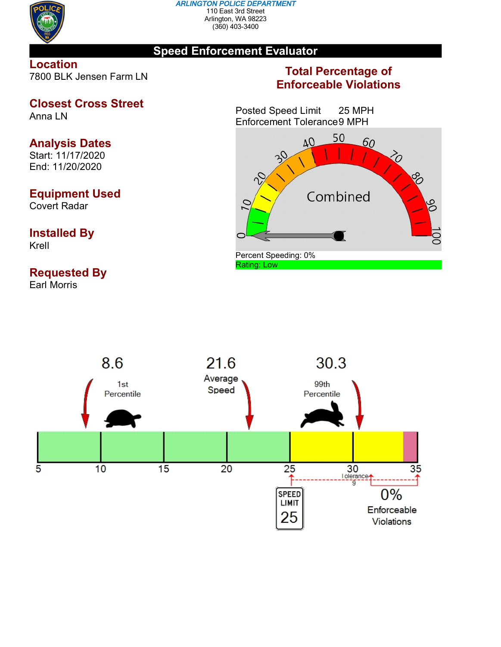

#### *ARLINGTON POLICE DEPARTMENT* 110 East 3rd Street Arlington, WA 98223 (360) 403-3400

## **Speed Enforcement Evaluator**

**Location** 7800 BLK Jensen Farm LN

# **Closest Cross Street**

Anna LN

## **Analysis Dates**

Start: 11/17/2020 End: 11/20/2020

## **Equipment Used**

Covert Radar

## **Installed By** Krell

# **Requested By**

Earl Morris

## **Total Percentage of Enforceable Violations**

Posted Speed Limit 25 MPH Enforcement Tolerance9 MPH